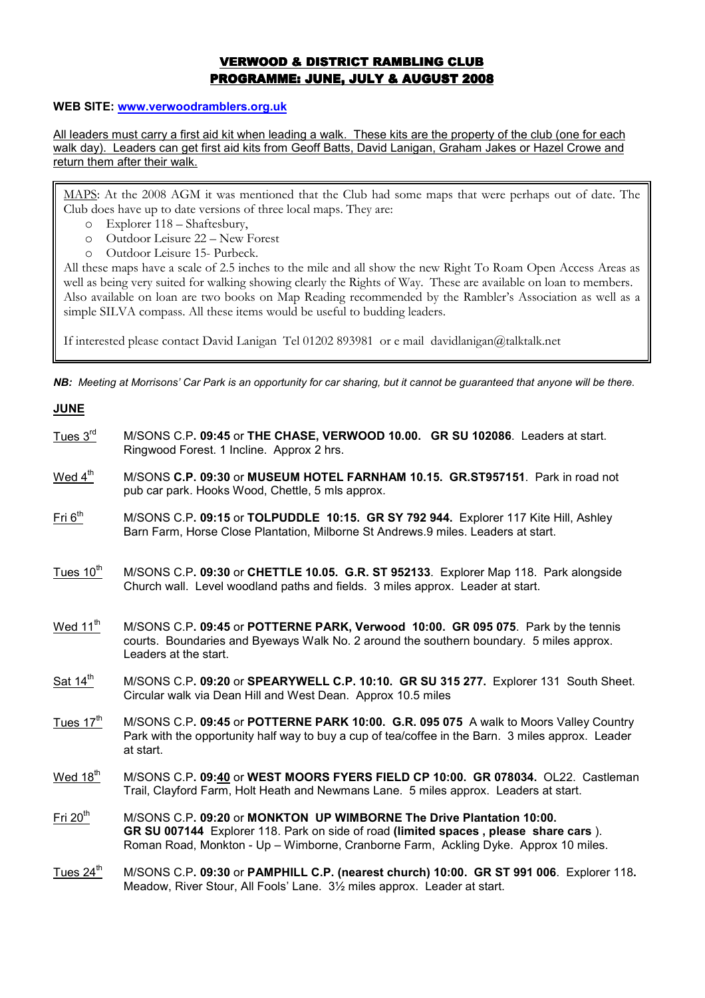# VERWOOD & DISTRICT RAMBLING CLUB PROGRAMME: JUNE, JULY & AUGUST 2008

#### WEB SITE: www.verwoodramblers.org.uk

All leaders must carry a first aid kit when leading a walk. These kits are the property of the club (one for each walk day). Leaders can get first aid kits from Geoff Batts, David Lanigan, Graham Jakes or Hazel Crowe and return them after their walk.

MAPS: At the 2008 AGM it was mentioned that the Club had some maps that were perhaps out of date. The Club does have up to date versions of three local maps. They are:

- o Explorer 118 Shaftesbury,
- o Outdoor Leisure 22 New Forest
- o Outdoor Leisure 15- Purbeck.

JUNE

All these maps have a scale of 2.5 inches to the mile and all show the new Right To Roam Open Access Areas as well as being very suited for walking showing clearly the Rights of Way. These are available on loan to members. Also available on loan are two books on Map Reading recommended by the Rambler's Association as well as a simple SILVA compass. All these items would be useful to budding leaders.

If interested please contact David Lanigan Tel 01202 893981 or e mail davidlanigan@talktalk.net

NB: Meeting at Morrisons' Car Park is an opportunity for car sharing, but it cannot be guaranteed that anyone will be there.

| <u>JUNE</u>           |                                                                                                                                                                                                                                                     |
|-----------------------|-----------------------------------------------------------------------------------------------------------------------------------------------------------------------------------------------------------------------------------------------------|
| Tues $3rd$            | M/SONS C.P. 09:45 or THE CHASE, VERWOOD 10.00. GR SU 102086. Leaders at start.<br>Ringwood Forest. 1 Incline. Approx 2 hrs.                                                                                                                         |
| Wed $4^{\text{th}}$   | M/SONS C.P. 09:30 or MUSEUM HOTEL FARNHAM 10.15. GR.ST957151. Park in road not<br>pub car park. Hooks Wood, Chettle, 5 mls approx.                                                                                                                  |
| Fit 6 <sup>th</sup>   | M/SONS C.P. 09:15 or TOLPUDDLE 10:15. GR SY 792 944. Explorer 117 Kite Hill, Ashley<br>Barn Farm, Horse Close Plantation, Milborne St Andrews.9 miles. Leaders at start.                                                                            |
| Tues 10 <sup>th</sup> | M/SONS C.P. 09:30 or CHETTLE 10.05. G.R. ST 952133. Explorer Map 118. Park alongside<br>Church wall. Level woodland paths and fields. 3 miles approx. Leader at start.                                                                              |
| Wed $11^{\text{th}}$  | M/SONS C.P. 09:45 or POTTERNE PARK, Verwood 10:00. GR 095 075. Park by the tennis<br>courts. Boundaries and Byeways Walk No. 2 around the southern boundary. 5 miles approx.<br>Leaders at the start.                                               |
| Sat 14 <sup>th</sup>  | M/SONS C.P. 09:20 or SPEARYWELL C.P. 10:10. GR SU 315 277. Explorer 131 South Sheet.<br>Circular walk via Dean Hill and West Dean. Approx 10.5 miles                                                                                                |
| Tues $17th$           | M/SONS C.P. 09:45 or POTTERNE PARK 10:00. G.R. 095 075 A walk to Moors Valley Country<br>Park with the opportunity half way to buy a cup of tea/coffee in the Barn. 3 miles approx. Leader<br>at start.                                             |
| Wed $18^{\text{th}}$  | M/SONS C.P. 09:40 or WEST MOORS FYERS FIELD CP 10:00. GR 078034. OL22. Castleman<br>Trail, Clayford Farm, Holt Heath and Newmans Lane. 5 miles approx. Leaders at start.                                                                            |
| Fri $20th$            | M/SONS C.P. 09:20 or MONKTON UP WIMBORNE The Drive Plantation 10:00.<br>GR SU 007144 Explorer 118. Park on side of road (limited spaces, please share cars).<br>Roman Road, Monkton - Up - Wimborne, Cranborne Farm, Ackling Dyke. Approx 10 miles. |
| Tues $24^{\text{th}}$ | M/SONS C.P. 09:30 or PAMPHILL C.P. (nearest church) 10:00. GR ST 991 006. Explorer 118.<br>Meadow, River Stour, All Fools' Lane. 31/2 miles approx. Leader at start.                                                                                |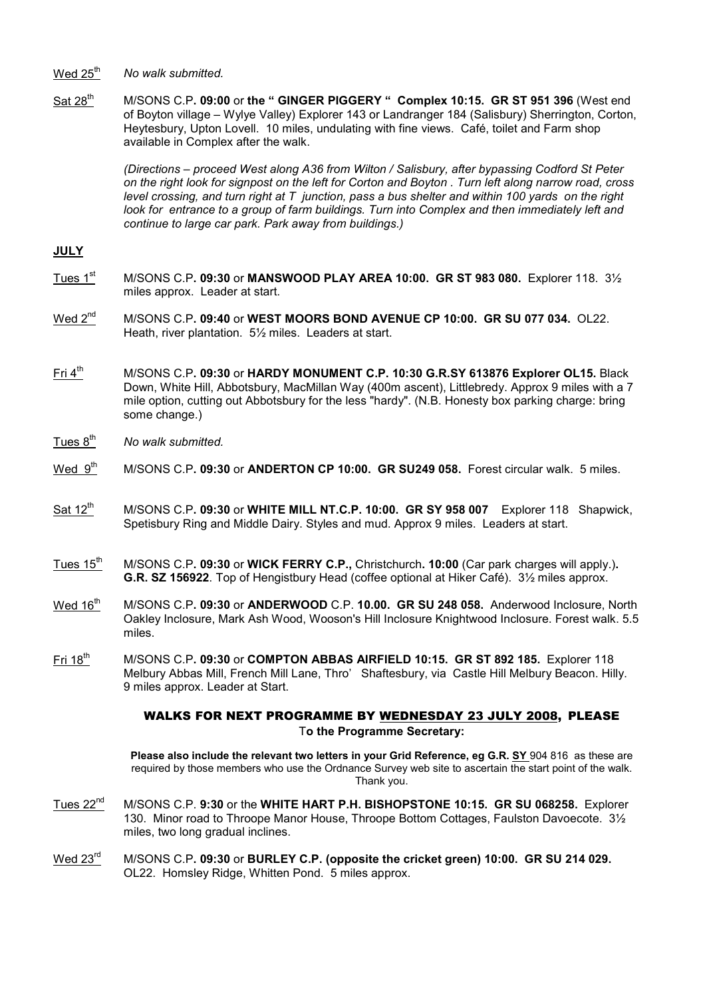Wed  $25<sup>th</sup>$  No walk submitted.

Sat 28<sup>th</sup> M/SONS C.P. 09:00 or the " GINGER PIGGERY " Complex 10:15. GR ST 951 396 (West end of Boyton village – Wylye Valley) Explorer 143 or Landranger 184 (Salisbury) Sherrington, Corton, Heytesbury, Upton Lovell. 10 miles, undulating with fine views. Café, toilet and Farm shop available in Complex after the walk.

> (Directions – proceed West along A36 from Wilton / Salisbury, after bypassing Codford St Peter on the right look for signpost on the left for Corton and Boyton . Turn left along narrow road, cross level crossing, and turn right at  $T$  junction, pass a bus shelter and within 100 yards on the right look for entrance to a group of farm buildings. Turn into Complex and then immediately left and continue to large car park. Park away from buildings.)

## JULY

- Tues  $1<sup>st</sup>$  M/SONS C.P. 09:30 or MANSWOOD PLAY AREA 10:00. GR ST 983 080. Explorer 118. 3 $\frac{1}{2}$ miles approx. Leader at start.
- Wed 2<sup>nd</sup> M/SONS C.P. 09:40 or WEST MOORS BOND AVENUE CP 10:00. GR SU 077 034. OL22. Heath, river plantation. 5½ miles. Leaders at start.
- $Fit 4<sup>th</sup>$  M/SONS C.P. 09:30 or HARDY MONUMENT C.P. 10:30 G.R.SY 613876 Explorer OL15. Black Down, White Hill, Abbotsbury, MacMillan Way (400m ascent), Littlebredy. Approx 9 miles with a 7 mile option, cutting out Abbotsbury for the less "hardy". (N.B. Honesty box parking charge: bring some change.)
- Tues  $8<sup>th</sup>$  No walk submitted.
- Wed 9<sup>th</sup> M/SONS C.P. 09:30 or ANDERTON CP 10:00. GR SU249 058. Forest circular walk. 5 miles.
- Sat 12<sup>th</sup> M/SONS C.P. 09:30 or WHITE MILL NT.C.P. 10:00. GR SY 958 007 Explorer 118 Shapwick, Spetisbury Ring and Middle Dairy. Styles and mud. Approx 9 miles. Leaders at start.
- Tues  $15<sup>th</sup>$  M/SONS C.P. 09:30 or WICK FERRY C.P., Christchurch. 10:00 (Car park charges will apply.). G.R. SZ 156922. Top of Hengistbury Head (coffee optional at Hiker Café). 3½ miles approx.
- Wed 16<sup>th</sup> M/SONS C.P. 09:30 or ANDERWOOD C.P. 10.00. GR SU 248 058. Anderwood Inclosure, North Oakley Inclosure, Mark Ash Wood, Wooson's Hill Inclosure Knightwood Inclosure. Forest walk. 5.5 miles.
- Fri 18<sup>th</sup> M/SONS C.P. 09:30 or COMPTON ABBAS AIRFIELD 10:15. GR ST 892 185. Explorer 118 Melbury Abbas Mill, French Mill Lane, Thro' Shaftesbury, via Castle Hill Melbury Beacon. Hilly. 9 miles approx. Leader at Start.

#### WALKS FOR NEXT PROGRAMME BY WEDNESDAY 23 JULY 2008, PLEASE To the Programme Secretary:

Please also include the relevant two letters in your Grid Reference, eg G.R. SY 904 816 as these are required by those members who use the Ordnance Survey web site to ascertain the start point of the walk. Thank you.

- Tues 22<sup>nd</sup> M/SONS C.P. 9:30 or the WHITE HART P.H. BISHOPSTONE 10:15. GR SU 068258. Explorer 130. Minor road to Throope Manor House, Throope Bottom Cottages, Faulston Davoecote. 3½ miles, two long gradual inclines.
- Wed 23<sup>rd</sup> M/SONS C.P. 09:30 or BURLEY C.P. (opposite the cricket green) 10:00. GR SU 214 029. OL22. Homsley Ridge, Whitten Pond. 5 miles approx.